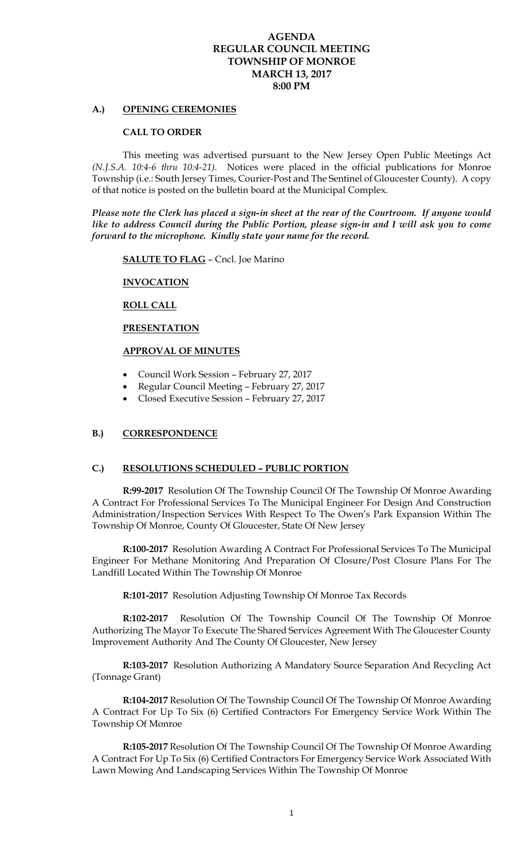# **AGENDA REGULAR COUNCIL MEETING TOWNSHIP OF MONROE MARCH 13, 2017 8:00 PM**

## **A.) OPENING CEREMONIES**

## **CALL TO ORDER**

 This meeting was advertised pursuant to the New Jersey Open Public Meetings Act *(N.J.S.A. 10:4-6 thru 10:4-21).* Notices were placed in the official publications for Monroe Township (i.e.: South Jersey Times, Courier-Post and The Sentinel of Gloucester County). A copy of that notice is posted on the bulletin board at the Municipal Complex.

*Please note the Clerk has placed a sign-in sheet at the rear of the Courtroom. If anyone would like to address Council during the Public Portion, please sign-in and I will ask you to come forward to the microphone. Kindly state your name for the record.* 

**SALUTE TO FLAG** – Cncl. Joe Marino

## **INVOCATION**

## **ROLL CALL**

#### **PRESENTATION**

# **APPROVAL OF MINUTES**

- Council Work Session February 27, 2017
- Regular Council Meeting February 27, 2017
- Closed Executive Session February 27, 2017

# **B.) CORRESPONDENCE**

## **C.) RESOLUTIONS SCHEDULED – PUBLIC PORTION**

**R:99-2017** Resolution Of The Township Council Of The Township Of Monroe Awarding A Contract For Professional Services To The Municipal Engineer For Design And Construction Administration/Inspection Services With Respect To The Owen's Park Expansion Within The Township Of Monroe, County Of Gloucester, State Of New Jersey

**R:100-2017** Resolution Awarding A Contract For Professional Services To The Municipal Engineer For Methane Monitoring And Preparation Of Closure/Post Closure Plans For The Landfill Located Within The Township Of Monroe

**R:101-2017** Resolution Adjusting Township Of Monroe Tax Records

**R:102-2017** Resolution Of The Township Council Of The Township Of Monroe Authorizing The Mayor To Execute The Shared Services Agreement With The Gloucester County Improvement Authority And The County Of Gloucester, New Jersey

**R:103-2017** Resolution Authorizing A Mandatory Source Separation And Recycling Act (Tonnage Grant)

**R:104-2017** Resolution Of The Township Council Of The Township Of Monroe Awarding A Contract For Up To Six (6) Certified Contractors For Emergency Service Work Within The Township Of Monroe

**R:105-2017** Resolution Of The Township Council Of The Township Of Monroe Awarding A Contract For Up To Six (6) Certified Contractors For Emergency Service Work Associated With Lawn Mowing And Landscaping Services Within The Township Of Monroe